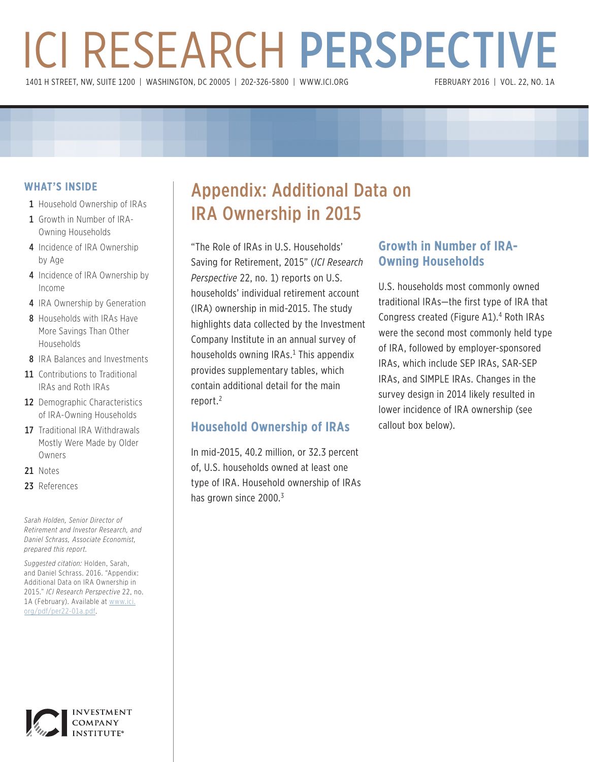# ICI RESEARCH PERSPECTIVE 1401 H STREET, NW, SUITE 1200 | WASHINGTON, DC 20005 | 202-326-5800 | WWW.ICI.ORG

## **WHAT'S INSIDE**

- 1 Household Ownership of IRAs
- 1 Growth in Number of IRA-Owning Households
- 4 Incidence of IRA Ownership by Age
- 4 Incidence of IRA Ownership by Income
- 4 IRA Ownership by Generation
- 8 Households with IRAs Have More Savings Than Other Households
- 8 IRA Balances and Investments
- 11 Contributions to Traditional IRAs and Roth IRAs
- 12 Demographic Characteristics of IRA-Owning Households
- 17 Traditional IRA Withdrawals Mostly Were Made by Older Owners
- 21 Notes
- 23 References

*Sarah Holden, Senior Director of Retirement and Investor Research, and Daniel Schrass, Associate Economist, prepared this report.*

*Suggested citation:* Holden, Sarah, and Daniel Schrass. 2016. "Appendix: Additional Data on IRA Ownership in 2015." *ICI Research Perspective* 22, no. 1A (February). Available at www.ici. org/pdf/per22-01a.pdf.

# Appendix: Additional Data on IRA Ownership in 2015

"The Role of IRAs in U.S. Households' Saving for Retirement, 2015" (*ICI Research Perspective* 22, no. 1) reports on U.S. households' individual retirement account (IRA) ownership in mid-2015. The study highlights data collected by the Investment Company Institute in an annual survey of households owning IRAs.<sup>1</sup> This appendix provides supplementary tables, which contain additional detail for the main report.<sup>2</sup>

## **Household Ownership of IRAs**

In mid-2015, 40.2 million, or 32.3 percent of, U.S. households owned at least one type of IRA. Household ownership of IRAs has grown since 2000.<sup>3</sup>

## **Growth in Number of IRA-Owning Households**

U.S. households most commonly owned traditional IRAs—the first type of IRA that Congress created (Figure A1).<sup>4</sup> Roth IRAs were the second most commonly held type of IRA, followed by employer-sponsored IRAs, which include SEP IRAs, SAR-SEP IRAs, and SIMPLE IRAs. Changes in the survey design in 2014 likely resulted in lower incidence of IRA ownership (see callout box below).

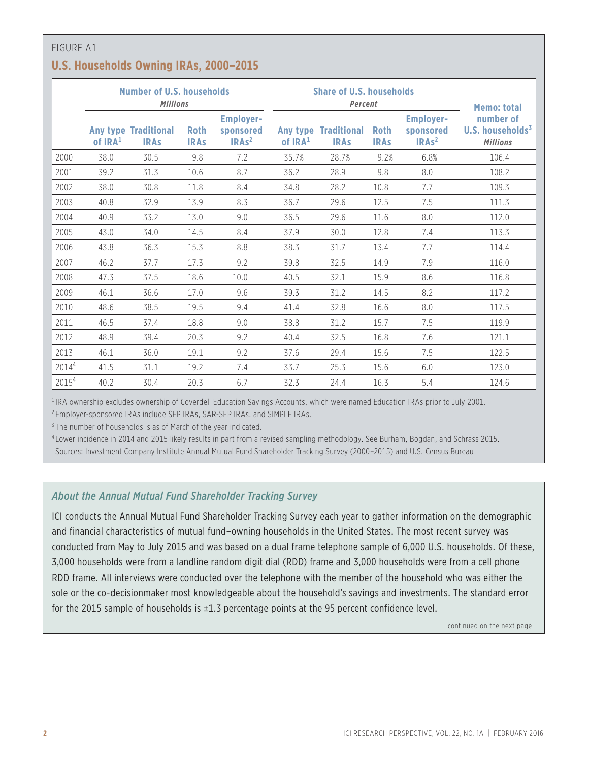## **U.S. Households Owning IRAs, 2000–2015**

|                   |           | Number of U.S. households<br><b>Millions</b> |                            |                                                    |           | <b>Share of U.S. households</b><br>Percent | <b>Memo: total</b>         |                                                    |                                                              |
|-------------------|-----------|----------------------------------------------|----------------------------|----------------------------------------------------|-----------|--------------------------------------------|----------------------------|----------------------------------------------------|--------------------------------------------------------------|
|                   | of $IRA1$ | <b>Any type Traditional</b><br><b>IRAs</b>   | <b>Roth</b><br><b>IRAs</b> | <b>Employer-</b><br>sponsored<br>IRAs <sup>2</sup> | of $IRA1$ | <b>Any type Traditional</b><br><b>IRAs</b> | <b>Roth</b><br><b>IRAS</b> | <b>Employer-</b><br>sponsored<br>IRAs <sup>2</sup> | number of<br>U.S. households <sup>3</sup><br><b>Millions</b> |
| 2000              | 38.0      | 30.5                                         | 9.8                        | 7.2                                                | 35.7%     | 28.7%                                      | 9.2%                       | 6.8%                                               | 106.4                                                        |
| 2001              | 39.2      | 31.3                                         | 10.6                       | 8.7                                                | 36.2      | 28.9                                       | 9.8                        | 8.0                                                | 108.2                                                        |
| 2002              | 38.0      | 30.8                                         | 11.8                       | 8.4                                                | 34.8      | 28.2                                       | 10.8                       | 7.7                                                | 109.3                                                        |
| 2003              | 40.8      | 32.9                                         | 13.9                       | 8.3                                                | 36.7      | 29.6                                       | 12.5                       | 7.5                                                | 111.3                                                        |
| 2004              | 40.9      | 33.2                                         | 13.0                       | 9.0                                                | 36.5      | 29.6                                       | 11.6                       | 8.0                                                | 112.0                                                        |
| 2005              | 43.0      | 34.0                                         | 14.5                       | 8.4                                                | 37.9      | 30.0                                       | 12.8                       | 7.4                                                | 113.3                                                        |
| 2006              | 43.8      | 36.3                                         | 15.3                       | 8.8                                                | 38.3      | 31.7                                       | 13.4                       | 7.7                                                | 114.4                                                        |
| 2007              | 46.2      | 37.7                                         | 17.3                       | 9.2                                                | 39.8      | 32.5                                       | 14.9                       | 7.9                                                | 116.0                                                        |
| 2008              | 47.3      | 37.5                                         | 18.6                       | 10.0                                               | 40.5      | 32.1                                       | 15.9                       | 8.6                                                | 116.8                                                        |
| 2009              | 46.1      | 36.6                                         | 17.0                       | 9.6                                                | 39.3      | 31.2                                       | 14.5                       | 8.2                                                | 117.2                                                        |
| 2010              | 48.6      | 38.5                                         | 19.5                       | 9.4                                                | 41.4      | 32.8                                       | 16.6                       | 8.0                                                | 117.5                                                        |
| 2011              | 46.5      | 37.4                                         | 18.8                       | 9.0                                                | 38.8      | 31.2                                       | 15.7                       | 7.5                                                | 119.9                                                        |
| 2012              | 48.9      | 39.4                                         | 20.3                       | 9.2                                                | 40.4      | 32.5                                       | 16.8                       | 7.6                                                | 121.1                                                        |
| 2013              | 46.1      | 36.0                                         | 19.1                       | 9.2                                                | 37.6      | 29.4                                       | 15.6                       | 7.5                                                | 122.5                                                        |
| 2014 <sup>4</sup> | 41.5      | 31.1                                         | 19.2                       | 7.4                                                | 33.7      | 25.3                                       | 15.6                       | 6.0                                                | 123.0                                                        |
| 2015 <sup>4</sup> | 40.2      | 30.4                                         | 20.3                       | 6.7                                                | 32.3      | 24.4                                       | 16.3                       | 5.4                                                | 124.6                                                        |

<sup>1</sup> IRA ownership excludes ownership of Coverdell Education Savings Accounts, which were named Education IRAs prior to July 2001.

<sup>2</sup> Employer-sponsored IRAs include SEP IRAs, SAR-SEP IRAs, and SIMPLE IRAs.

<sup>3</sup> The number of households is as of March of the year indicated.

<sup>4</sup> Lower incidence in 2014 and 2015 likely results in part from a revised sampling methodology. See Burham, Bogdan, and Schrass 2015.

Sources: Investment Company Institute Annual Mutual Fund Shareholder Tracking Survey (2000–2015) and U.S. Census Bureau

## *About the Annual Mutual Fund Shareholder Tracking Survey*

ICI conducts the Annual Mutual Fund Shareholder Tracking Survey each year to gather information on the demographic and financial characteristics of mutual fund–owning households in the United States. The most recent survey was conducted from May to July 2015 and was based on a dual frame telephone sample of 6,000 U.S. households. Of these, 3,000 households were from a landline random digit dial (RDD) frame and 3,000 households were from a cell phone RDD frame. All interviews were conducted over the telephone with the member of the household who was either the sole or the co-decisionmaker most knowledgeable about the household's savings and investments. The standard error for the 2015 sample of households is ±1.3 percentage points at the 95 percent confidence level.

continued on the next page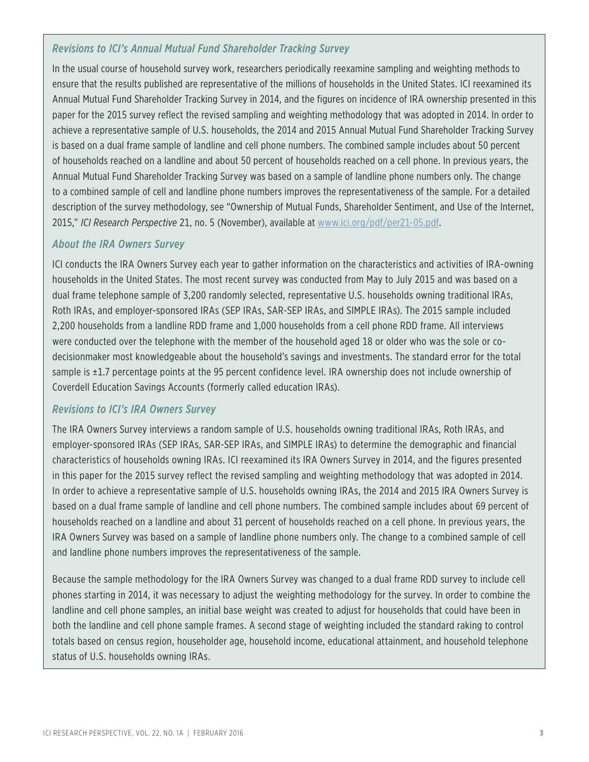## *Revisions to ICI's Annual Mutual Fund Shareholder Tracking Survey*

In the usual course of household survey work, researchers periodically reexamine sampling and weighting methods to ensure that the results published are representative of the millions of households in the United States. ICI reexamined its Annual Mutual Fund Shareholder Tracking Survey in 2014, and the figures on incidence of IRA ownership presented in this paper for the 2015 survey reflect the revised sampling and weighting methodology that was adopted in 2014. In order to achieve a representative sample of U.S. households, the 2014 and 2015 Annual Mutual Fund Shareholder Tracking Survey is based on a dual frame sample of landline and cell phone numbers. The combined sample includes about 50 percent of households reached on a landline and about 50 percent of households reached on a cell phone. In previous years, the Annual Mutual Fund Shareholder Tracking Survey was based on a sample of landline phone numbers only. The change to a combined sample of cell and landline phone numbers improves the representativeness of the sample. For a detailed description of the survey methodology, see "Ownership of Mutual Funds, Shareholder Sentiment, and Use of the Internet, 2015," *ICI Research Perspective* 21, no. 5 (November), available at www.ici.org/pdf/per21-05.pdf.

### *About the IRA Owners Survey*

ICI conducts the IRA Owners Survey each year to gather information on the characteristics and activities of IRA-owning households in the United States. The most recent survey was conducted from May to July 2015 and was based on a dual frame telephone sample of 3,200 randomly selected, representative U.S. households owning traditional IRAs, Roth IRAs, and employer-sponsored IRAs (SEP IRAs, SAR-SEP IRAs, and SIMPLE IRAs). The 2015 sample included 2,200 households from a landline RDD frame and 1,000 households from a cell phone RDD frame. All interviews were conducted over the telephone with the member of the household aged 18 or older who was the sole or codecisionmaker most knowledgeable about the household's savings and investments. The standard error for the total sample is ±1.7 percentage points at the 95 percent confidence level. IRA ownership does not include ownership of Coverdell Education Savings Accounts (formerly called education IRAs).

## *Revisions to ICI's IRA Owners Survey*

The IRA Owners Survey interviews a random sample of U.S. households owning traditional IRAs, Roth IRAs, and employer-sponsored IRAs (SEP IRAs, SAR-SEP IRAs, and SIMPLE IRAs) to determine the demographic and financial characteristics of households owning IRAs. ICI reexamined its IRA Owners Survey in 2014, and the figures presented in this paper for the 2015 survey reflect the revised sampling and weighting methodology that was adopted in 2014. In order to achieve a representative sample of U.S. households owning IRAs, the 2014 and 2015 IRA Owners Survey is based on a dual frame sample of landline and cell phone numbers. The combined sample includes about 69 percent of households reached on a landline and about 31 percent of households reached on a cell phone. In previous years, the IRA Owners Survey was based on a sample of landline phone numbers only. The change to a combined sample of cell and landline phone numbers improves the representativeness of the sample.

Because the sample methodology for the IRA Owners Survey was changed to a dual frame RDD survey to include cell phones starting in 2014, it was necessary to adjust the weighting methodology for the survey. In order to combine the landline and cell phone samples, an initial base weight was created to adjust for households that could have been in both the landline and cell phone sample frames. A second stage of weighting included the standard raking to control totals based on census region, householder age, household income, educational attainment, and household telephone status of U.S. households owning IRAs.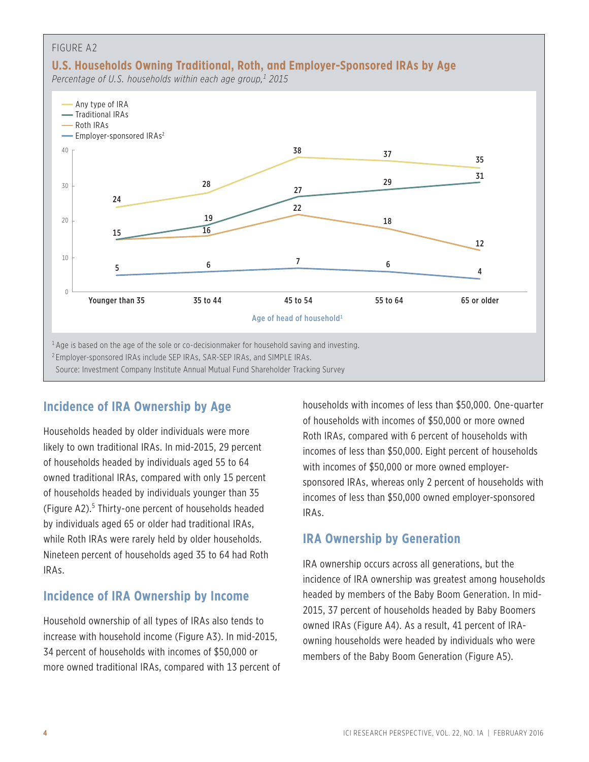

# **Incidence of IRA Ownership by Age**

Households headed by older individuals were more likely to own traditional IRAs. In mid-2015, 29 percent of households headed by individuals aged 55 to 64 owned traditional IRAs, compared with only 15 percent of households headed by individuals younger than 35 (Figure A2).<sup>5</sup> Thirty-one percent of households headed by individuals aged 65 or older had traditional IRAs, while Roth IRAs were rarely held by older households. Nineteen percent of households aged 35 to 64 had Roth IRAs.

# **Incidence of IRA Ownership by Income**

Household ownership of all types of IRAs also tends to increase with household income (Figure A3). In mid-2015, 34 percent of households with incomes of \$50,000 or more owned traditional IRAs, compared with 13 percent of households with incomes of less than \$50,000. One-quarter of households with incomes of \$50,000 or more owned Roth IRAs, compared with 6 percent of households with incomes of less than \$50,000. Eight percent of households with incomes of \$50,000 or more owned employersponsored IRAs, whereas only 2 percent of households with incomes of less than \$50,000 owned employer-sponsored IRAs.

# **IRA Ownership by Generation**

IRA ownership occurs across all generations, but the incidence of IRA ownership was greatest among households headed by members of the Baby Boom Generation. In mid-2015, 37 percent of households headed by Baby Boomers owned IRAs (Figure A4). As a result, 41 percent of IRAowning households were headed by individuals who were members of the Baby Boom Generation (Figure A5).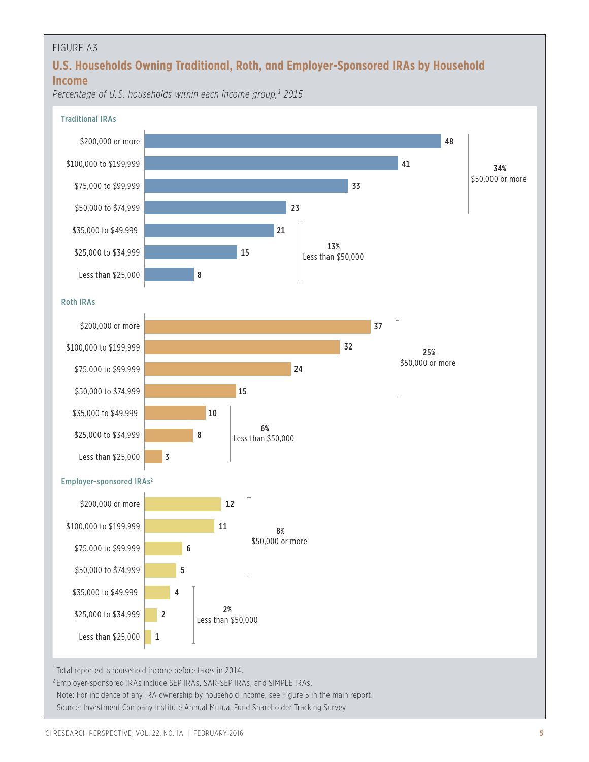# **U.S. Households Owning Traditional, Roth, and Employer-Sponsored IRAs by Household Income**

*Percentage of U.S. households within each income group,1 2015*

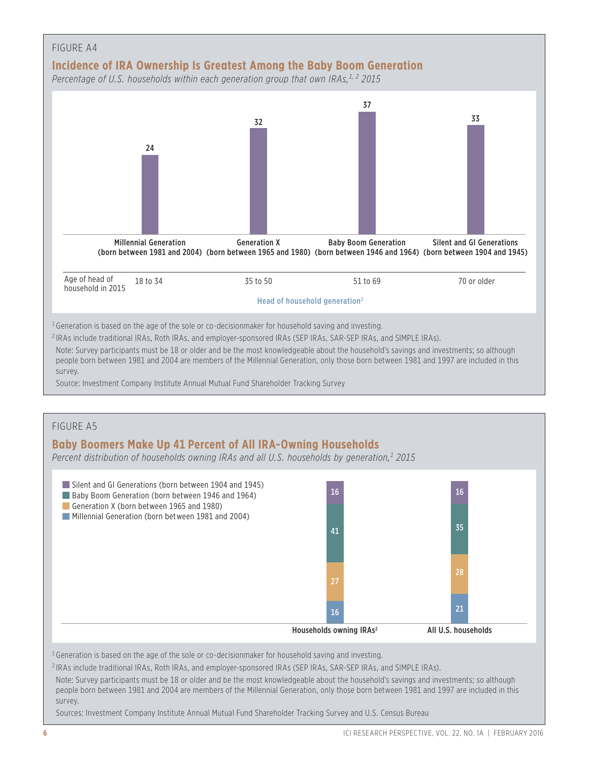

#### **Baby Boomers Make Up 41 Percent of All IRA-Owning Households**

*Percent distribution of households owning IRAs and all U.S. households by generation,1 2015*



Sources: Investment Company Institute Annual Mutual Fund Shareholder Tracking Survey and U.S. Census Bureau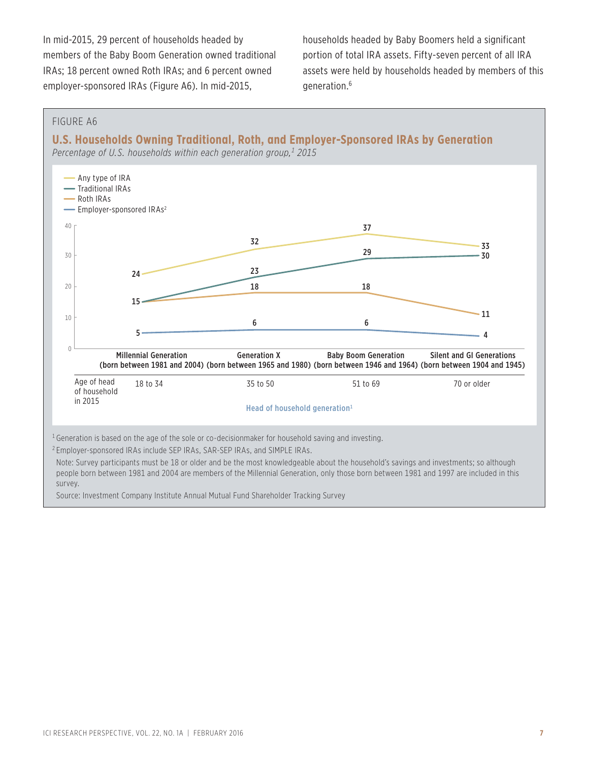In mid-2015, 29 percent of households headed by members of the Baby Boom Generation owned traditional IRAs; 18 percent owned Roth IRAs; and 6 percent owned employer-sponsored IRAs (Figure A6). In mid-2015,

households headed by Baby Boomers held a significant portion of total IRA assets. Fifty-seven percent of all IRA assets were held by households headed by members of this generation.6

#### FIGURE A6

**U.S. Households Owning Traditional, Roth, and Employer-Sponsored IRAs by Generation**

*Percentage of U.S. households within each generation group,1 2015*



people born between 1981 and 2004 are members of the Millennial Generation, only those born between 1981 and 1997 are included in this survey.

Source: Investment Company Institute Annual Mutual Fund Shareholder Tracking Survey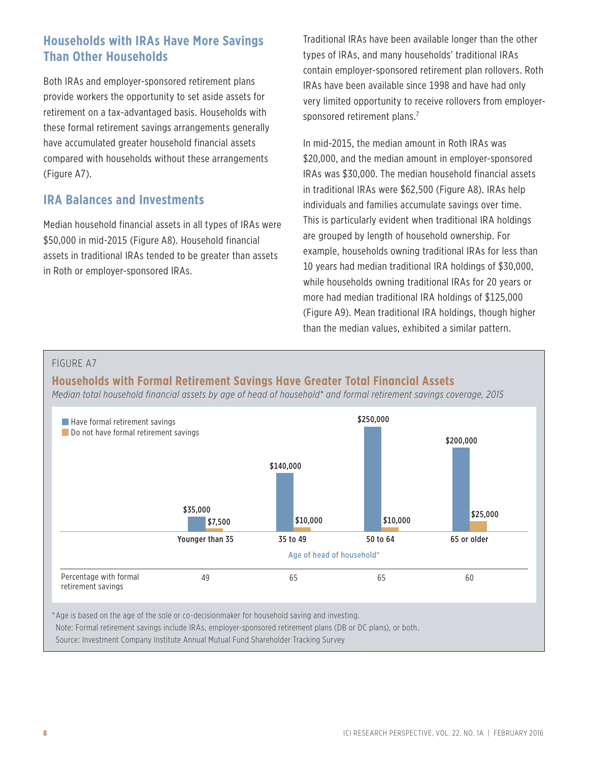# **Households with IRAs Have More Savings Than Other Households**

Both IRAs and employer-sponsored retirement plans provide workers the opportunity to set aside assets for retirement on a tax-advantaged basis. Households with these formal retirement savings arrangements generally have accumulated greater household financial assets compared with households without these arrangements (Figure A7).

# **IRA Balances and Investments**

Median household financial assets in all types of IRAs were \$50,000 in mid-2015 (Figure A8). Household financial assets in traditional IRAs tended to be greater than assets in Roth or employer-sponsored IRAs.

Traditional IRAs have been available longer than the other types of IRAs, and many households' traditional IRAs contain employer-sponsored retirement plan rollovers. Roth IRAs have been available since 1998 and have had only very limited opportunity to receive rollovers from employersponsored retirement plans.<sup>7</sup>

In mid-2015, the median amount in Roth IRAs was \$20,000, and the median amount in employer-sponsored IRAs was \$30,000. The median household financial assets in traditional IRAs were \$62,500 (Figure A8). IRAs help individuals and families accumulate savings over time. This is particularly evident when traditional IRA holdings are grouped by length of household ownership. For example, households owning traditional IRAs for less than 10 years had median traditional IRA holdings of \$30,000, while households owning traditional IRAs for 20 years or more had median traditional IRA holdings of \$125,000 (Figure A9). Mean traditional IRA holdings, though higher than the median values, exhibited a similar pattern.

#### FIGURE A7

**Households with Formal Retirement Savings Have Greater Total Financial Assets**

*Median total household financial assets by age of head of household\* and formal retirement savings coverage, 2015*

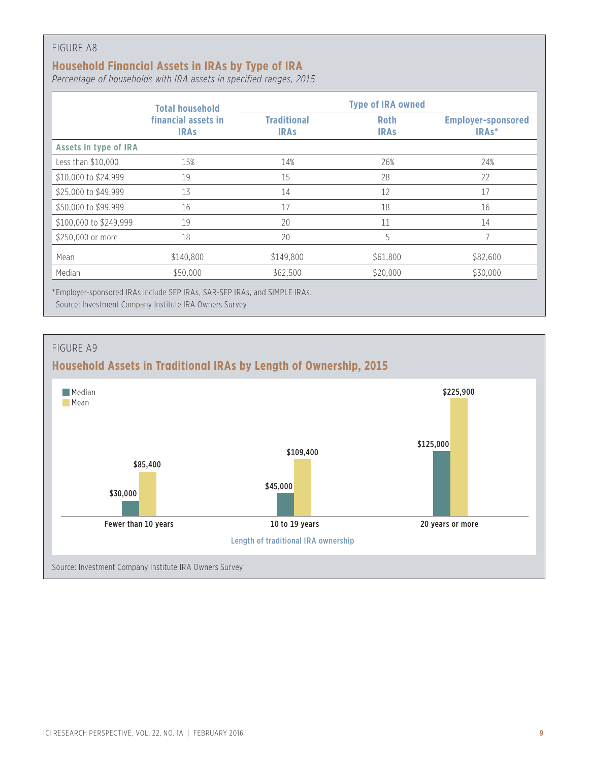## **Household Financial Assets in IRAs by Type of IRA**

*Percentage of households with IRA assets in specified ranges, 2015*

|                              | <b>Total household</b>             | <b>Type of IRA owned</b>          |                            |                                                 |  |  |
|------------------------------|------------------------------------|-----------------------------------|----------------------------|-------------------------------------------------|--|--|
|                              | financial assets in<br><b>IRAs</b> | <b>Traditional</b><br><b>IRAS</b> | <b>Roth</b><br><b>IRAS</b> | <b>Employer-sponsored</b><br>IRA <sub>s</sub> * |  |  |
| <b>Assets in type of IRA</b> |                                    |                                   |                            |                                                 |  |  |
| Less than \$10,000           | 15%                                | 14%                               | 26%                        | 24%                                             |  |  |
| \$10,000 to \$24,999         | 19                                 | 15                                | 28                         | 22                                              |  |  |
| \$25,000 to \$49,999         | 13                                 | 14                                | 12                         | 17                                              |  |  |
| \$50,000 to \$99,999         | 16                                 | 17                                | 18                         | 16                                              |  |  |
| \$100,000 to \$249,999       | 19                                 | 20                                | 11                         | 14                                              |  |  |
| \$250,000 or more            | 18                                 | 20                                | 5                          | 7                                               |  |  |
| Mean                         | \$140,800                          | \$149,800                         | \$61,800                   | \$82,600                                        |  |  |
| Median                       | \$50,000                           | \$62,500                          | \$20,000                   | \$30,000                                        |  |  |

\* Employer-sponsored IRAs include SEP IRAs, SAR-SEP IRAs, and SIMPLE IRAs.



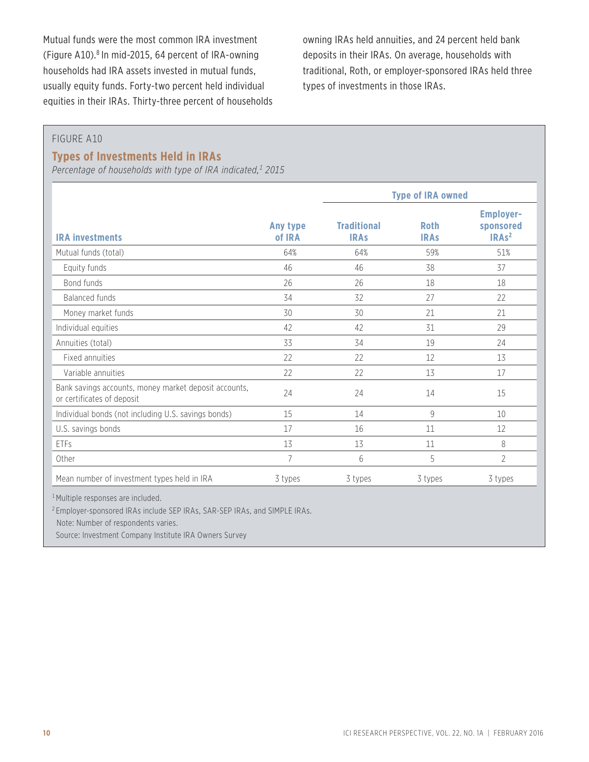Mutual funds were the most common IRA investment (Figure A10).<sup>8</sup> In mid-2015, 64 percent of IRA-owning households had IRA assets invested in mutual funds, usually equity funds. Forty-two percent held individual equities in their IRAs. Thirty-three percent of households owning IRAs held annuities, and 24 percent held bank deposits in their IRAs. On average, households with traditional, Roth, or employer-sponsored IRAs held three types of investments in those IRAs.

#### FIGURE A10

#### **Types of Investments Held in IRAs**

*Percentage of households with type of IRA indicated,1 2015*

|                                                                                     |                    | <b>Type of IRA owned</b>          |                            |                                                               |
|-------------------------------------------------------------------------------------|--------------------|-----------------------------------|----------------------------|---------------------------------------------------------------|
| <b>IRA investments</b>                                                              | Any type<br>of IRA | <b>Traditional</b><br><b>IRAs</b> | <b>Roth</b><br><b>IRAS</b> | <b>Employer-</b><br>sponsored<br>IRA <sub>s<sup>2</sup></sub> |
| Mutual funds (total)                                                                | 64%                | 64%                               | 59%                        | 51%                                                           |
| Equity funds                                                                        | 46                 | 46                                | 38                         | 37                                                            |
| Bond funds                                                                          | 26                 | 26                                | 18                         | 18                                                            |
| <b>Balanced funds</b>                                                               | 34                 | 32                                | 27                         | 22                                                            |
| Money market funds                                                                  | 30                 | 30                                | 21                         | 21                                                            |
| Individual equities                                                                 | 42                 | 42                                | 31                         | 29                                                            |
| Annuities (total)                                                                   | 33                 | 34                                | 19                         | 24                                                            |
| Fixed annuities                                                                     | 22                 | 22                                | 12                         | 13                                                            |
| Variable annuities                                                                  | 22                 | 22                                | 13                         | 17                                                            |
| Bank savings accounts, money market deposit accounts,<br>or certificates of deposit | 24                 | 24                                | 14                         | 15                                                            |
| Individual bonds (not including U.S. savings bonds)                                 | 15                 | 14                                | 9                          | 10                                                            |
| U.S. savings bonds                                                                  | 17                 | 16                                | 11                         | 12                                                            |
| ETFs                                                                                | 13                 | 13                                | 11                         | 8                                                             |
| Other                                                                               | 7                  | 6                                 | 5                          | 2                                                             |
| Mean number of investment types held in IRA                                         | 3 types            | 3 types                           | 3 types                    | 3 types                                                       |

<sup>1</sup> Multiple responses are included.

<sup>2</sup> Employer-sponsored IRAs include SEP IRAs, SAR-SEP IRAs, and SIMPLE IRAs.

Note: Number of respondents varies.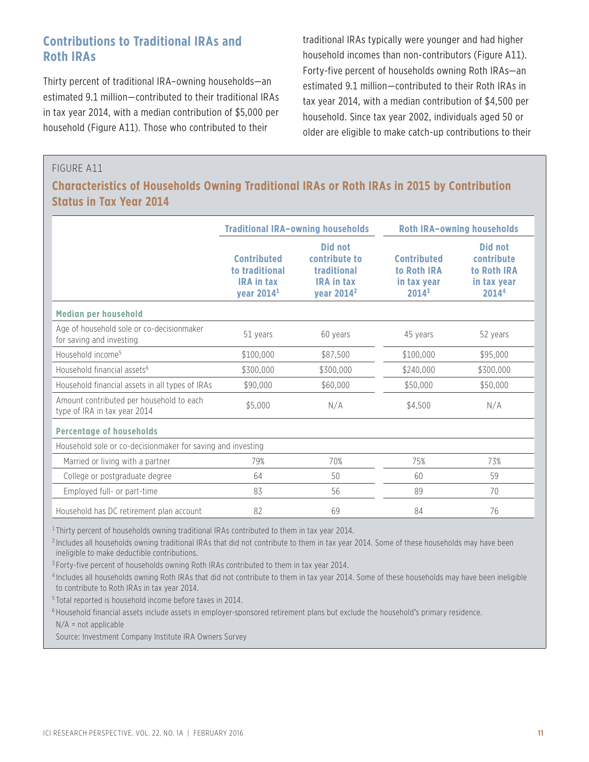# **Contributions to Traditional IRAs and Roth IRAs**

Thirty percent of traditional IRA–owning households—an estimated 9.1 million—contributed to their traditional IRAs in tax year 2014, with a median contribution of \$5,000 per household (Figure A11). Those who contributed to their

traditional IRAs typically were younger and had higher household incomes than non-contributors (Figure A11). Forty-five percent of households owning Roth IRAs—an estimated 9.1 million—contributed to their Roth IRAs in tax year 2014, with a median contribution of \$4,500 per household. Since tax year 2002, individuals aged 50 or older are eligible to make catch-up contributions to their

#### FIGURE A11

## **Characteristics of Households Owning Traditional IRAs or Roth IRAs in 2015 by Contribution Status in Tax Year 2014**

|                                                                          |                                                                                     | <b>Traditional IRA-owning households</b>                                                      |                                                              | <b>Roth IRA-owning households</b>                            |
|--------------------------------------------------------------------------|-------------------------------------------------------------------------------------|-----------------------------------------------------------------------------------------------|--------------------------------------------------------------|--------------------------------------------------------------|
|                                                                          | <b>Contributed</b><br>to traditional<br><b>IRA in tax</b><br>year 2014 <sup>1</sup> | <b>Did not</b><br>contribute to<br>traditional<br><b>IRA in tax</b><br>year 2014 <sup>2</sup> | <b>Contributed</b><br>to Roth IRA<br>in tax year<br>$2014^3$ | Did not<br>contribute<br>to Roth IRA<br>in tax year<br>20144 |
| Median per household                                                     |                                                                                     |                                                                                               |                                                              |                                                              |
| Age of household sole or co-decisionmaker<br>for saving and investing    | 51 years                                                                            | 60 years                                                                                      | 45 years                                                     | 52 years                                                     |
| Household income <sup>5</sup>                                            | \$100,000                                                                           | \$87,500                                                                                      | \$100,000                                                    | \$95,000                                                     |
| Household financial assets <sup>6</sup>                                  | \$300,000                                                                           | \$300,000                                                                                     | \$240,000                                                    | \$300,000                                                    |
| Household financial assets in all types of IRAs                          | \$90,000                                                                            | \$60,000                                                                                      | \$50,000                                                     | \$50,000                                                     |
| Amount contributed per household to each<br>type of IRA in tax year 2014 | \$5,000                                                                             | N/A                                                                                           | \$4,500                                                      | N/A                                                          |
| <b>Percentage of households</b>                                          |                                                                                     |                                                                                               |                                                              |                                                              |
| Household sole or co-decisionmaker for saving and investing              |                                                                                     |                                                                                               |                                                              |                                                              |
| Married or living with a partner                                         | 79%                                                                                 | 70%                                                                                           | 75%                                                          | 73%                                                          |
| College or postgraduate degree                                           | 64                                                                                  | 50                                                                                            | 60                                                           | 59                                                           |
| Employed full- or part-time                                              | 83                                                                                  | 56                                                                                            | 89                                                           | 70                                                           |
| Household has DC retirement plan account                                 | 82                                                                                  | 69                                                                                            | 84                                                           | 76                                                           |

<sup>1</sup> Thirty percent of households owning traditional IRAs contributed to them in tax year 2014.

<sup>2</sup> Includes all households owning traditional IRAs that did not contribute to them in tax year 2014. Some of these households may have been ineligible to make deductible contributions.

<sup>3</sup> Forty-five percent of households owning Roth IRAs contributed to them in tax year 2014.

<sup>4</sup> Includes all households owning Roth IRAs that did not contribute to them in tax year 2014. Some of these households may have been ineligible to contribute to Roth IRAs in tax year 2014.

<sup>5</sup> Total reported is household income before taxes in 2014.

<sup>6</sup> Household financial assets include assets in employer-sponsored retirement plans but exclude the household's primary residence.

 $N/A$  = not applicable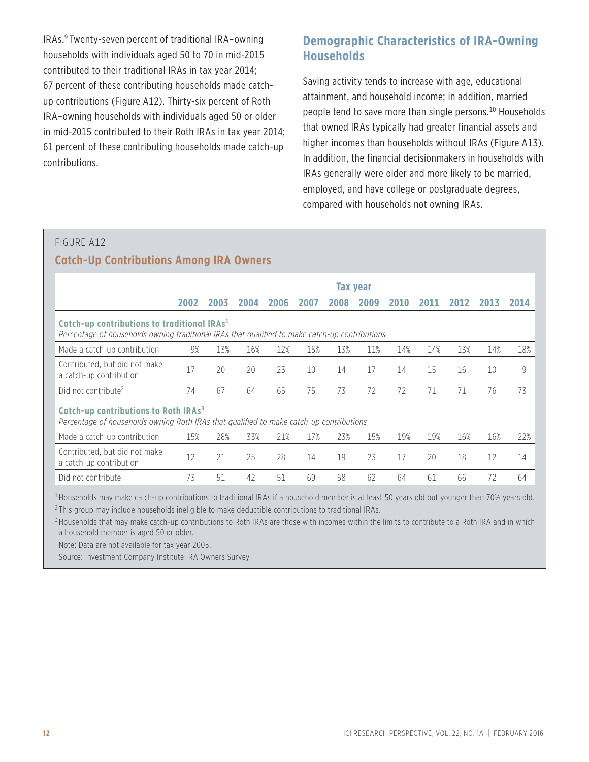IRAs.9 Twenty-seven percent of traditional IRA–owning households with individuals aged 50 to 70 in mid-2015 contributed to their traditional IRAs in tax year 2014; 67 percent of these contributing households made catchup contributions (Figure A12). Thirty-six percent of Roth IRA–owning households with individuals aged 50 or older in mid-2015 contributed to their Roth IRAs in tax year 2014; 61 percent of these contributing households made catch-up contributions.

## **Demographic Characteristics of IRA-Owning Households**

Saving activity tends to increase with age, educational attainment, and household income; in addition, married people tend to save more than single persons.<sup>10</sup> Households that owned IRAs typically had greater financial assets and higher incomes than households without IRAs (Figure A13). In addition, the financial decisionmakers in households with IRAs generally were older and more likely to be married, employed, and have college or postgraduate degrees, compared with households not owning IRAs.

# FIGURE A12 **Catch-Up Contributions Among IRA Owners**

|                                                                                                                                                           | <b>Tax year</b> |      |      |      |      |      |      |      |      |      |      |      |
|-----------------------------------------------------------------------------------------------------------------------------------------------------------|-----------------|------|------|------|------|------|------|------|------|------|------|------|
|                                                                                                                                                           | 2002            | 2003 | 2004 | 2006 | 2007 | 2008 | 2009 | 2010 | 2011 | 2012 | 2013 | 2014 |
| Catch-up contributions to traditional IRAs <sup>1</sup><br>Percentage of households owning traditional IRAs that qualified to make catch-up contributions |                 |      |      |      |      |      |      |      |      |      |      |      |
| Made a catch-up contribution                                                                                                                              | 9%              | 13%  | 16%  | 12%  | 15%  | 13%  | 11%  | 14%  | 14%  | 13%  | 14%  | 18%  |
| Contributed, but did not make<br>a catch-up contribution                                                                                                  | 17              | 20   | 20   | 23   | 10   | 14   | 17   | 14   | 15   | 16   | 10   | 9    |
| Did not contribute <sup>2</sup>                                                                                                                           | 74              | 67   | 64   | 65   | 75   | 73   | 72   | 72   | 71   | 71   | 76   | 73   |
| Catch-up contributions to Roth IRAs <sup>3</sup><br>Percentage of households owning Roth IRAs that qualified to make catch-up contributions               |                 |      |      |      |      |      |      |      |      |      |      |      |
| Made a catch-up contribution                                                                                                                              | 15%             | 28%  | 33%  | 21%  | 17%  | 23%  | 15%  | 19%  | 19%  | 16%  | 16%  | 22%  |
| Contributed, but did not make<br>a catch-up contribution                                                                                                  | 12              | 21   | 25   | 28   | 14   | 19   | 23   | 17   | 20   | 18   | 12   | 14   |
| Did not contribute                                                                                                                                        | 73              | 51   | 42   | 51   | 69   | 58   | 62   | 64   | 61   | 66   | 72   | 64   |

<sup>1</sup> Households may make catch-up contributions to traditional IRAs if a household member is at least 50 years old but younger than 70½ years old.

<sup>2</sup> This group may include households ineligible to make deductible contributions to traditional IRAs.

<sup>3</sup> Households that may make catch-up contributions to Roth IRAs are those with incomes within the limits to contribute to a Roth IRA and in which a household member is aged 50 or older.

Note: Data are not available for tax year 2005.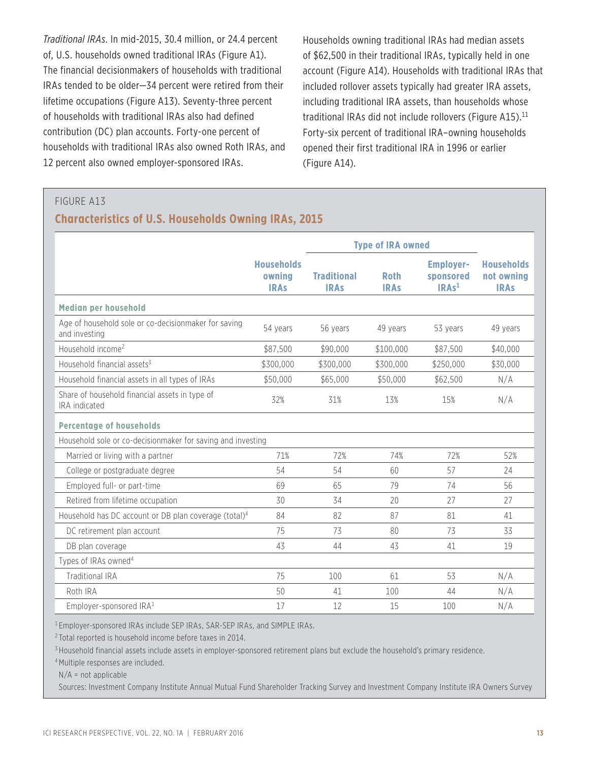*Traditional IRAs*. In mid-2015, 30.4 million, or 24.4 percent of, U.S. households owned traditional IRAs (Figure A1). The financial decisionmakers of households with traditional IRAs tended to be older—34 percent were retired from their lifetime occupations (Figure A13). Seventy-three percent of households with traditional IRAs also had defined contribution (DC) plan accounts. Forty-one percent of households with traditional IRAs also owned Roth IRAs, and 12 percent also owned employer-sponsored IRAs.

Households owning traditional IRAs had median assets of \$62,500 in their traditional IRAs, typically held in one account (Figure A14). Households with traditional IRAs that included rollover assets typically had greater IRA assets, including traditional IRA assets, than households whose traditional IRAs did not include rollovers (Figure A15). $^{11}$ Forty-six percent of traditional IRA–owning households opened their first traditional IRA in 1996 or earlier (Figure A14).

### FIGURE A13

#### **Characteristics of U.S. Households Owning IRAs, 2015**

|                                                                       |                                            | <b>Type of IRA owned</b>          |                            |                                                    |                                                |
|-----------------------------------------------------------------------|--------------------------------------------|-----------------------------------|----------------------------|----------------------------------------------------|------------------------------------------------|
|                                                                       | <b>Households</b><br>owning<br><b>IRAs</b> | <b>Traditional</b><br><b>IRAs</b> | <b>Roth</b><br><b>IRAs</b> | <b>Employer-</b><br>sponsored<br>IRAs <sup>1</sup> | <b>Households</b><br>not owning<br><b>IRAs</b> |
| <b>Median per household</b>                                           |                                            |                                   |                            |                                                    |                                                |
| Age of household sole or co-decisionmaker for saving<br>and investing | 54 years                                   | 56 years                          | 49 years                   | 53 years                                           | 49 years                                       |
| Household income <sup>2</sup>                                         | \$87,500                                   | \$90,000                          | \$100,000                  | \$87,500                                           | \$40,000                                       |
| Household financial assets <sup>3</sup>                               | \$300,000                                  | \$300,000                         | \$300,000                  | \$250,000                                          | \$30,000                                       |
| Household financial assets in all types of IRAs                       | \$50,000                                   | \$65,000                          | \$50,000                   | \$62,500                                           | N/A                                            |
| Share of household financial assets in type of<br>IRA indicated       | 32%                                        | 31%                               | 13%                        | 15%                                                | N/A                                            |
| <b>Percentage of households</b>                                       |                                            |                                   |                            |                                                    |                                                |
| Household sole or co-decisionmaker for saving and investing           |                                            |                                   |                            |                                                    |                                                |
| Married or living with a partner                                      | 71%                                        | 72%                               | 74%                        | 72%                                                | 52%                                            |
| College or postgraduate degree                                        | 54                                         | 54                                | 60                         | 57                                                 | 24                                             |
| Employed full- or part-time                                           | 69                                         | 65                                | 79                         | 74                                                 | 56                                             |
| Retired from lifetime occupation                                      | 30                                         | 34                                | 20                         | 27                                                 | 27                                             |
| Household has DC account or DB plan coverage (total) <sup>4</sup>     | 84                                         | 82                                | 87                         | 81                                                 | 41                                             |
| DC retirement plan account                                            | 75                                         | 73                                | 80                         | 73                                                 | 33                                             |
| DB plan coverage                                                      | 43                                         | 44                                | 43                         | 41                                                 | 19                                             |
| Types of IRAs owned <sup>4</sup>                                      |                                            |                                   |                            |                                                    |                                                |
| <b>Traditional IRA</b>                                                | 75                                         | 100                               | 61                         | 53                                                 | N/A                                            |
| Roth IRA                                                              | 50                                         | 41                                | 100                        | 44                                                 | N/A                                            |
| Employer-sponsored IRA <sup>1</sup>                                   | 17                                         | 12                                | 15                         | 100                                                | N/A                                            |

<sup>1</sup> Employer-sponsored IRAs include SEP IRAs, SAR-SEP IRAs, and SIMPLE IRAs.

<sup>2</sup> Total reported is household income before taxes in 2014.

<sup>3</sup> Household financial assets include assets in employer-sponsored retirement plans but exclude the household's primary residence.

<sup>4</sup> Multiple responses are included.

 $N/A$  = not applicable

Sources: Investment Company Institute Annual Mutual Fund Shareholder Tracking Survey and Investment Company Institute IRA Owners Survey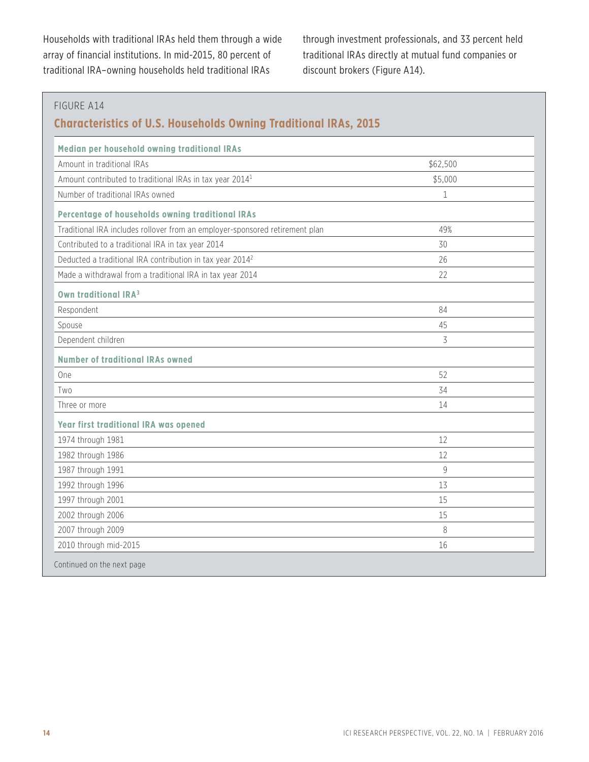Households with traditional IRAs held them through a wide array of financial institutions. In mid-2015, 80 percent of traditional IRA–owning households held traditional IRAs

through investment professionals, and 33 percent held traditional IRAs directly at mutual fund companies or discount brokers (Figure A14).

| Median per household owning traditional IRAs                                 |             |
|------------------------------------------------------------------------------|-------------|
| Amount in traditional IRAs                                                   | \$62,500    |
| Amount contributed to traditional IRAs in tax year 2014 <sup>1</sup>         | \$5,000     |
| Number of traditional IRAs owned                                             | $\mathbf 1$ |
| Percentage of households owning traditional IRAs                             |             |
| Traditional IRA includes rollover from an employer-sponsored retirement plan | 49%         |
| Contributed to a traditional IRA in tax year 2014                            | 30          |
| Deducted a traditional IRA contribution in tax year 2014 <sup>2</sup>        | 26          |
| Made a withdrawal from a traditional IRA in tax year 2014                    | 22          |
| Own traditional IRA <sup>3</sup>                                             |             |
| Respondent                                                                   | 84          |
| Spouse                                                                       | 45          |
| Dependent children                                                           | 3           |
| <b>Number of traditional IRAs owned</b>                                      |             |
| One                                                                          | 52          |
| Two                                                                          | 34          |
| Three or more                                                                | 14          |
| Year first traditional IRA was opened                                        |             |
| 1974 through 1981                                                            | 12          |
| 1982 through 1986                                                            | 12          |
| 1987 through 1991                                                            | 9           |
| 1992 through 1996                                                            | 13          |
| 1997 through 2001                                                            | 15          |
| 2002 through 2006                                                            | 15          |
| 2007 through 2009                                                            | 8           |
| 2010 through mid-2015                                                        | 16          |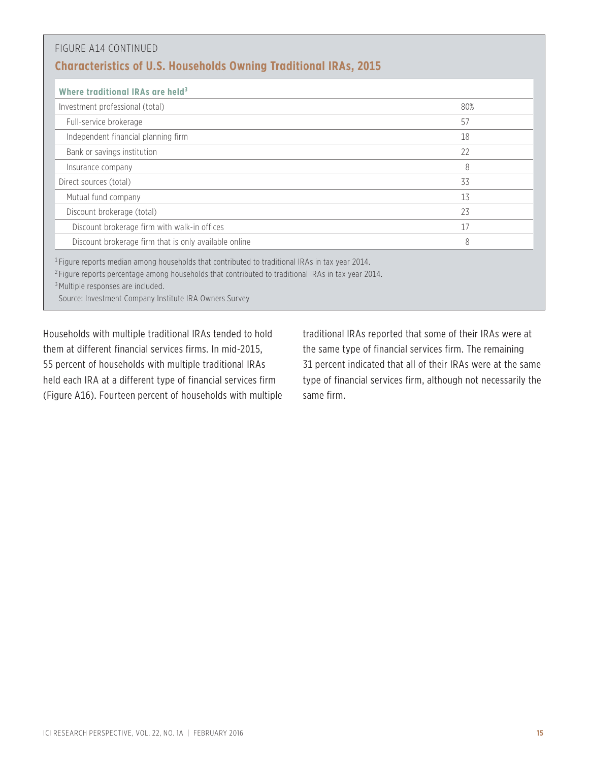| <b>Characteristics of U.S. Households Owning Traditional IRAs, 2015</b> |     |
|-------------------------------------------------------------------------|-----|
| Where traditional IRAs are held <sup>3</sup>                            |     |
| Investment professional (total)                                         | 80% |
| Full-service brokerage                                                  | 57  |
| Independent financial planning firm                                     | 18  |
| Bank or savings institution                                             | 22  |
| Insurance company                                                       | 8   |
| Direct sources (total)                                                  | 33  |
| Mutual fund company                                                     | 13  |
| Discount brokerage (total)                                              | 23  |
| Discount brokerage firm with walk-in offices                            | 17  |
| Discount brokerage firm that is only available online                   | 8   |

Source: Investment Company Institute IRA Owners Survey

Households with multiple traditional IRAs tended to hold them at different financial services firms. In mid-2015, 55 percent of households with multiple traditional IRAs held each IRA at a different type of financial services firm (Figure A16). Fourteen percent of households with multiple

traditional IRAs reported that some of their IRAs were at the same type of financial services firm. The remaining 31 percent indicated that all of their IRAs were at the same type of financial services firm, although not necessarily the same firm.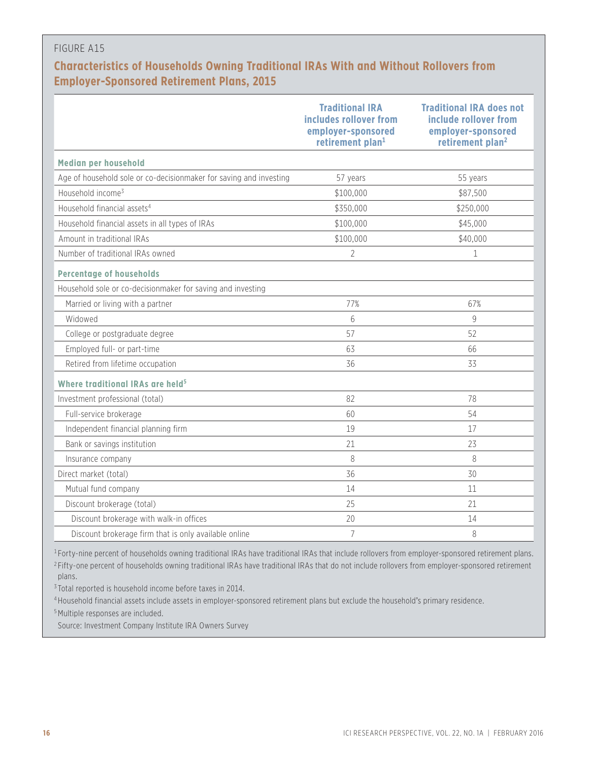# **Characteristics of Households Owning Traditional IRAs With and Without Rollovers from Employer-Sponsored Retirement Plans, 2015**

|                                                                                                | <b>Traditional IRA</b><br>includes rollover from<br>employer-sponsored<br>retirement plan <sup>1</sup> | <b>Traditional IRA does not</b><br>include rollover from<br>employer-sponsored<br>retirement plan <sup>2</sup> |
|------------------------------------------------------------------------------------------------|--------------------------------------------------------------------------------------------------------|----------------------------------------------------------------------------------------------------------------|
| Median per household                                                                           |                                                                                                        |                                                                                                                |
| Age of household sole or co-decisionmaker for saving and investing                             | 57 years                                                                                               | 55 years                                                                                                       |
| Household income <sup>3</sup>                                                                  | \$100,000                                                                                              | \$87,500                                                                                                       |
| Household financial assets <sup>4</sup>                                                        | \$350,000                                                                                              | \$250,000                                                                                                      |
| Household financial assets in all types of IRAs                                                | \$100,000                                                                                              | \$45,000                                                                                                       |
| Amount in traditional IRAs                                                                     | \$100,000                                                                                              | \$40,000                                                                                                       |
| Number of traditional IRAs owned                                                               | $\overline{2}$                                                                                         | 1                                                                                                              |
| <b>Percentage of households</b><br>Household sole or co-decisionmaker for saving and investing |                                                                                                        |                                                                                                                |
| Married or living with a partner                                                               | 77%                                                                                                    | 67%                                                                                                            |
| Widowed                                                                                        | $6\,$                                                                                                  | 9                                                                                                              |
| College or postgraduate degree                                                                 | 57                                                                                                     | 52                                                                                                             |
| Employed full- or part-time                                                                    | 63                                                                                                     | 66                                                                                                             |
| Retired from lifetime occupation                                                               | 36                                                                                                     | 33                                                                                                             |
| Where traditional IRAs are held <sup>5</sup>                                                   |                                                                                                        |                                                                                                                |
| Investment professional (total)                                                                | 82                                                                                                     | 78                                                                                                             |
| Full-service brokerage                                                                         | 60                                                                                                     | 54                                                                                                             |
| Independent financial planning firm                                                            | 19                                                                                                     | 17                                                                                                             |
| Bank or savings institution                                                                    | 21                                                                                                     | 23                                                                                                             |
| Insurance company                                                                              | 8                                                                                                      | 8                                                                                                              |
| Direct market (total)                                                                          | 36                                                                                                     | 30                                                                                                             |
| Mutual fund company                                                                            | 14                                                                                                     | 11                                                                                                             |
| Discount brokerage (total)                                                                     | 25                                                                                                     | 21                                                                                                             |
| Discount brokerage with walk-in offices                                                        | 20                                                                                                     | 14                                                                                                             |
| Discount brokerage firm that is only available online                                          | $\overline{7}$                                                                                         | 8                                                                                                              |

<sup>1</sup> Forty-nine percent of households owning traditional IRAs have traditional IRAs that include rollovers from employer-sponsored retirement plans.

<sup>2</sup> Fifty-one percent of households owning traditional IRAs have traditional IRAs that do not include rollovers from employer-sponsored retirement plans.

<sup>3</sup> Total reported is household income before taxes in 2014.

<sup>4</sup> Household financial assets include assets in employer-sponsored retirement plans but exclude the household's primary residence.

<sup>5</sup> Multiple responses are included.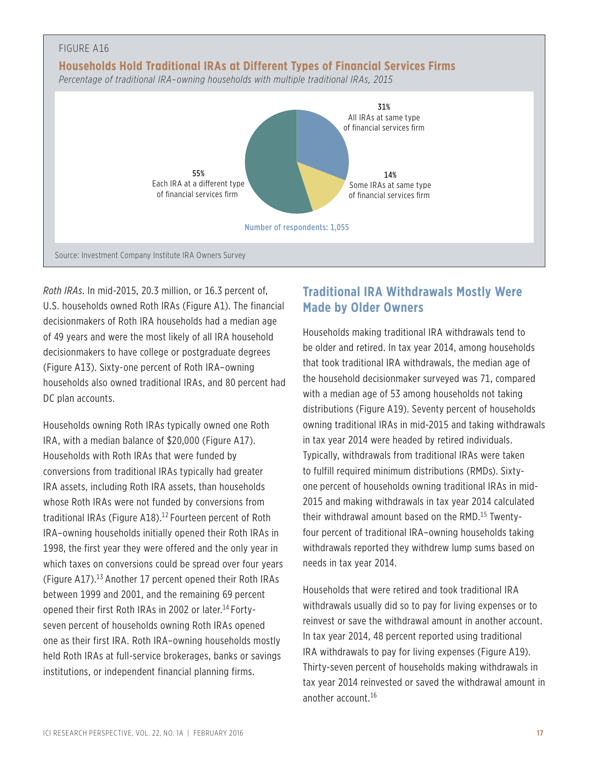

*Roth IRAs*. In mid-2015, 20.3 million, or 16.3 percent of, U.S. households owned Roth IRAs (Figure A1). The financial decisionmakers of Roth IRA households had a median age of 49 years and were the most likely of all IRA household decisionmakers to have college or postgraduate degrees (Figure A13). Sixty-one percent of Roth IRA–owning households also owned traditional IRAs, and 80 percent had DC plan accounts.

Households owning Roth IRAs typically owned one Roth IRA, with a median balance of \$20,000 (Figure A17). Households with Roth IRAs that were funded by conversions from traditional IRAs typically had greater IRA assets, including Roth IRA assets, than households whose Roth IRAs were not funded by conversions from traditional IRAs (Figure A18).<sup>12</sup> Fourteen percent of Roth IRA–owning households initially opened their Roth IRAs in 1998, the first year they were offered and the only year in which taxes on conversions could be spread over four years (Figure A17).13 Another 17 percent opened their Roth IRAs between 1999 and 2001, and the remaining 69 percent opened their first Roth IRAs in 2002 or later.<sup>14</sup> Fortyseven percent of households owning Roth IRAs opened one as their first IRA. Roth IRA–owning households mostly held Roth IRAs at full-service brokerages, banks or savings institutions, or independent financial planning firms.

# **Traditional IRA Withdrawals Mostly Were Made by Older Owners**

Households making traditional IRA withdrawals tend to be older and retired. In tax year 2014, among households that took traditional IRA withdrawals, the median age of the household decisionmaker surveyed was 71, compared with a median age of 53 among households not taking distributions (Figure A19). Seventy percent of households owning traditional IRAs in mid-2015 and taking withdrawals in tax year 2014 were headed by retired individuals. Typically, withdrawals from traditional IRAs were taken to fulfill required minimum distributions (RMDs). Sixtyone percent of households owning traditional IRAs in mid-2015 and making withdrawals in tax year 2014 calculated their withdrawal amount based on the RMD.<sup>15</sup> Twentyfour percent of traditional IRA–owning households taking withdrawals reported they withdrew lump sums based on needs in tax year 2014.

Households that were retired and took traditional IRA withdrawals usually did so to pay for living expenses or to reinvest or save the withdrawal amount in another account. In tax year 2014, 48 percent reported using traditional IRA withdrawals to pay for living expenses (Figure A19). Thirty-seven percent of households making withdrawals in tax year 2014 reinvested or saved the withdrawal amount in another account.16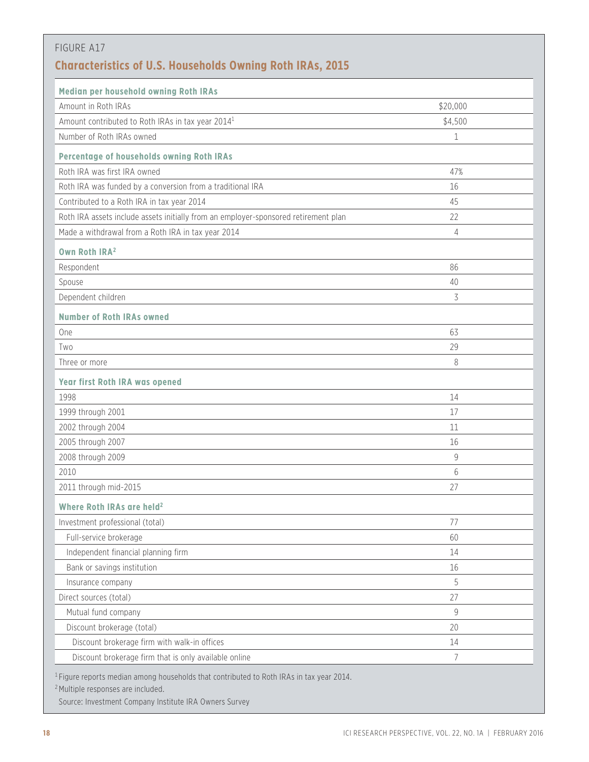| Median per household owning Roth IRAs                                               |             |
|-------------------------------------------------------------------------------------|-------------|
| Amount in Roth IRAs                                                                 | \$20,000    |
| Amount contributed to Roth IRAs in tax year 2014 <sup>1</sup>                       | \$4,500     |
| Number of Roth IRAs owned                                                           | 1           |
| Percentage of households owning Roth IRAs                                           |             |
| Roth IRA was first IRA owned                                                        | 47%         |
| Roth IRA was funded by a conversion from a traditional IRA                          | 16          |
| Contributed to a Roth IRA in tax year 2014                                          | 45          |
| Roth IRA assets include assets initially from an employer-sponsored retirement plan | 22          |
| Made a withdrawal from a Roth IRA in tax year 2014                                  | 4           |
| Own Roth IRA <sup>2</sup>                                                           |             |
| Respondent                                                                          | 86          |
| Spouse                                                                              | 40          |
| Dependent children                                                                  | 3           |
| <b>Number of Roth IRAs owned</b>                                                    |             |
| One                                                                                 | 63          |
| Two                                                                                 | 29          |
| Three or more                                                                       | 8           |
| Year first Roth IRA was opened                                                      |             |
| 1998                                                                                | 14          |
| 1999 through 2001                                                                   | 17          |
| 2002 through 2004                                                                   | 11          |
| 2005 through 2007                                                                   | 16          |
| 2008 through 2009                                                                   | 9           |
| 2010                                                                                | 6           |
| 2011 through mid-2015                                                               | 27          |
| Where Roth IRAs are held <sup>2</sup>                                               |             |
| Investment professional (total)                                                     | 77          |
| Full-service brokerage                                                              | 60          |
| Independent financial planning firm                                                 | 14          |
| Bank or savings institution                                                         | 16          |
| Insurance company                                                                   | 5           |
| Direct sources (total)                                                              | 27          |
| Mutual fund company                                                                 | $\mathsf g$ |
| Discount brokerage (total)                                                          | 20          |
| Discount brokerage firm with walk-in offices                                        | 14          |
| Discount brokerage firm that is only available online                               | 7           |

<sup>2</sup> Multiple responses are included.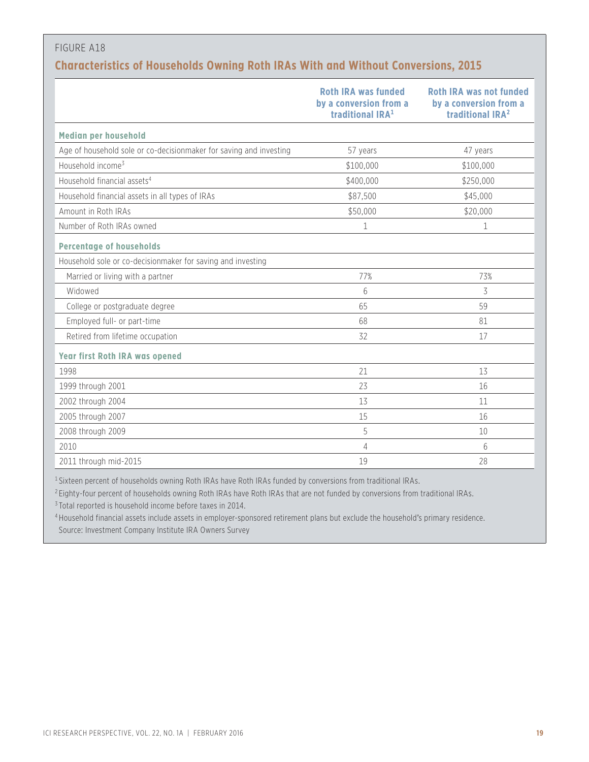## **Characteristics of Households Owning Roth IRAs With and Without Conversions, 2015**

|                                                                    | <b>Roth IRA was funded</b><br>by a conversion from a<br>traditional IRA <sup>1</sup> | <b>Roth IRA was not funded</b><br>by a conversion from a<br>traditional IRA <sup>2</sup> |
|--------------------------------------------------------------------|--------------------------------------------------------------------------------------|------------------------------------------------------------------------------------------|
| Median per household                                               |                                                                                      |                                                                                          |
| Age of household sole or co-decisionmaker for saving and investing | 57 years                                                                             | 47 years                                                                                 |
| Household income <sup>3</sup>                                      | \$100,000                                                                            | \$100,000                                                                                |
| Household financial assets <sup>4</sup>                            | \$400,000                                                                            | \$250,000                                                                                |
| Household financial assets in all types of IRAs                    | \$87,500                                                                             | \$45,000                                                                                 |
| Amount in Roth IRAs                                                | \$50,000                                                                             | \$20,000                                                                                 |
| Number of Roth IRAs owned                                          | 1                                                                                    | 1                                                                                        |
| <b>Percentage of households</b>                                    |                                                                                      |                                                                                          |
| Household sole or co-decisionmaker for saving and investing        |                                                                                      |                                                                                          |
| Married or living with a partner                                   | 77%                                                                                  | 73%                                                                                      |
| Widowed                                                            | 6                                                                                    | 3                                                                                        |
| College or postgraduate degree                                     | 65                                                                                   | 59                                                                                       |
| Employed full- or part-time                                        | 68                                                                                   | 81                                                                                       |
| Retired from lifetime occupation                                   | 32                                                                                   | 17                                                                                       |
| <b>Year first Roth IRA was opened</b>                              |                                                                                      |                                                                                          |
| 1998                                                               | 21                                                                                   | 13                                                                                       |
| 1999 through 2001                                                  | 23                                                                                   | 16                                                                                       |
| 2002 through 2004                                                  | 13                                                                                   | 11                                                                                       |
| 2005 through 2007                                                  | 15                                                                                   | 16                                                                                       |
| 2008 through 2009                                                  | 5                                                                                    | 10                                                                                       |
| 2010                                                               | 4                                                                                    | 6                                                                                        |
| 2011 through mid-2015                                              | 19                                                                                   | 28                                                                                       |

<sup>1</sup> Sixteen percent of households owning Roth IRAs have Roth IRAs funded by conversions from traditional IRAs.

<sup>2</sup> Eighty-four percent of households owning Roth IRAs have Roth IRAs that are not funded by conversions from traditional IRAs.

<sup>3</sup> Total reported is household income before taxes in 2014.

<sup>4</sup> Household financial assets include assets in employer-sponsored retirement plans but exclude the household's primary residence. Source: Investment Company Institute IRA Owners Survey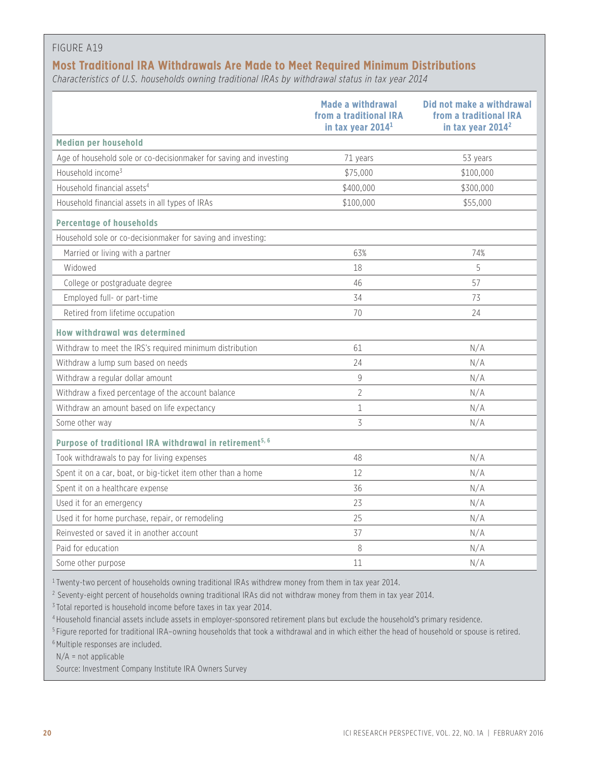## **Most Traditional IRA Withdrawals Are Made to Meet Required Minimum Distributions**

*Characteristics of U.S. households owning traditional IRAs by withdrawal status in tax year 2014*

|                                                                     | <b>Made a withdrawal</b><br>from a traditional IRA<br>in tax year 2014 <sup>1</sup> | Did not make a withdrawal<br>from a traditional IRA<br>in tax year 2014 <sup>2</sup> |
|---------------------------------------------------------------------|-------------------------------------------------------------------------------------|--------------------------------------------------------------------------------------|
| Median per household                                                |                                                                                     |                                                                                      |
| Age of household sole or co-decisionmaker for saving and investing  | 71 years                                                                            | 53 years                                                                             |
| Household income <sup>3</sup>                                       | \$75,000                                                                            | \$100,000                                                                            |
| Household financial assets <sup>4</sup>                             | \$400,000                                                                           | \$300,000                                                                            |
| Household financial assets in all types of IRAs                     | \$100,000                                                                           | \$55,000                                                                             |
| <b>Percentage of households</b>                                     |                                                                                     |                                                                                      |
| Household sole or co-decisionmaker for saving and investing:        |                                                                                     |                                                                                      |
| Married or living with a partner                                    | 63%                                                                                 | 74%                                                                                  |
| Widowed                                                             | 18                                                                                  | 5                                                                                    |
| College or postgraduate degree                                      | 46                                                                                  | 57                                                                                   |
| Employed full- or part-time                                         | 34                                                                                  | 73                                                                                   |
| Retired from lifetime occupation                                    | 70                                                                                  | 24                                                                                   |
| <b>How withdrawal was determined</b>                                |                                                                                     |                                                                                      |
| Withdraw to meet the IRS's required minimum distribution            | 61                                                                                  | N/A                                                                                  |
| Withdraw a lump sum based on needs                                  | 24                                                                                  | N/A                                                                                  |
| Withdraw a regular dollar amount                                    | 9                                                                                   | N/A                                                                                  |
| Withdraw a fixed percentage of the account balance                  | $\overline{2}$                                                                      | N/A                                                                                  |
| Withdraw an amount based on life expectancy                         | $\mathbf 1$                                                                         | N/A                                                                                  |
| Some other way                                                      | 3                                                                                   | N/A                                                                                  |
| Purpose of traditional IRA withdrawal in retirement <sup>5, 6</sup> |                                                                                     |                                                                                      |
| Took withdrawals to pay for living expenses                         | 48                                                                                  | N/A                                                                                  |
| Spent it on a car, boat, or big-ticket item other than a home       | 12                                                                                  | N/A                                                                                  |
| Spent it on a healthcare expense                                    | 36                                                                                  | N/A                                                                                  |
| Used it for an emergency                                            | 23                                                                                  | N/A                                                                                  |
| Used it for home purchase, repair, or remodeling                    | 25                                                                                  | N/A                                                                                  |
| Reinvested or saved it in another account                           | 37                                                                                  | N/A                                                                                  |
| Paid for education                                                  | 8                                                                                   | N/A                                                                                  |
| Some other purpose                                                  | 11                                                                                  | N/A                                                                                  |

<sup>1</sup> Twenty-two percent of households owning traditional IRAs withdrew money from them in tax year 2014.

<sup>2</sup> Seventy-eight percent of households owning traditional IRAs did not withdraw money from them in tax year 2014.

<sup>3</sup> Total reported is household income before taxes in tax year 2014.

<sup>4</sup> Household financial assets include assets in employer-sponsored retirement plans but exclude the household's primary residence.

<sup>5</sup> Figure reported for traditional IRA–owning households that took a withdrawal and in which either the head of household or spouse is retired.

<sup>6</sup> Multiple responses are included.

N/A = not applicable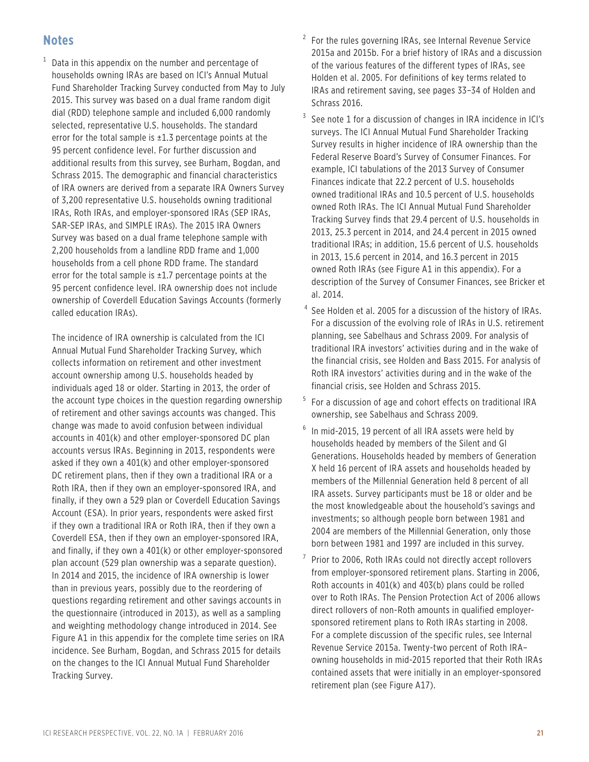## **Notes**

 $1$  Data in this appendix on the number and percentage of households owning IRAs are based on ICI's Annual Mutual Fund Shareholder Tracking Survey conducted from May to July 2015. This survey was based on a dual frame random digit dial (RDD) telephone sample and included 6,000 randomly selected, representative U.S. households. The standard error for the total sample is ±1.3 percentage points at the 95 percent confidence level. For further discussion and additional results from this survey, see Burham, Bogdan, and Schrass 2015. The demographic and financial characteristics of IRA owners are derived from a separate IRA Owners Survey of 3,200 representative U.S. households owning traditional IRAs, Roth IRAs, and employer-sponsored IRAs (SEP IRAs, SAR-SEP IRAs, and SIMPLE IRAs). The 2015 IRA Owners Survey was based on a dual frame telephone sample with 2,200 households from a landline RDD frame and 1,000 households from a cell phone RDD frame. The standard error for the total sample is ±1.7 percentage points at the 95 percent confidence level. IRA ownership does not include ownership of Coverdell Education Savings Accounts (formerly called education IRAs).

The incidence of IRA ownership is calculated from the ICI Annual Mutual Fund Shareholder Tracking Survey, which collects information on retirement and other investment account ownership among U.S. households headed by individuals aged 18 or older. Starting in 2013, the order of the account type choices in the question regarding ownership of retirement and other savings accounts was changed. This change was made to avoid confusion between individual accounts in 401(k) and other employer-sponsored DC plan accounts versus IRAs. Beginning in 2013, respondents were asked if they own a 401(k) and other employer-sponsored DC retirement plans, then if they own a traditional IRA or a Roth IRA, then if they own an employer-sponsored IRA, and finally, if they own a 529 plan or Coverdell Education Savings Account (ESA). In prior years, respondents were asked first if they own a traditional IRA or Roth IRA, then if they own a Coverdell ESA, then if they own an employer-sponsored IRA, and finally, if they own a 401(k) or other employer-sponsored plan account (529 plan ownership was a separate question). In 2014 and 2015, the incidence of IRA ownership is lower than in previous years, possibly due to the reordering of questions regarding retirement and other savings accounts in the questionnaire (introduced in 2013), as well as a sampling and weighting methodology change introduced in 2014. See Figure A1 in this appendix for the complete time series on IRA incidence. See Burham, Bogdan, and Schrass 2015 for details on the changes to the ICI Annual Mutual Fund Shareholder Tracking Survey.

- $2$  For the rules governing IRAs, see Internal Revenue Service 2015a and 2015b. For a brief history of IRAs and a discussion of the various features of the different types of IRAs, see Holden et al. 2005. For definitions of key terms related to IRAs and retirement saving, see pages 33–34 of Holden and Schrass 2016.
- $3$  See note 1 for a discussion of changes in IRA incidence in ICI's surveys. The ICI Annual Mutual Fund Shareholder Tracking Survey results in higher incidence of IRA ownership than the Federal Reserve Board's Survey of Consumer Finances. For example, ICI tabulations of the 2013 Survey of Consumer Finances indicate that 22.2 percent of U.S. households owned traditional IRAs and 10.5 percent of U.S. households owned Roth IRAs. The ICI Annual Mutual Fund Shareholder Tracking Survey finds that 29.4 percent of U.S. households in 2013, 25.3 percent in 2014, and 24.4 percent in 2015 owned traditional IRAs; in addition, 15.6 percent of U.S. households in 2013, 15.6 percent in 2014, and 16.3 percent in 2015 owned Roth IRAs (see Figure A1 in this appendix). For a description of the Survey of Consumer Finances, see Bricker et al. 2014.
- <sup>4</sup> See Holden et al. 2005 for a discussion of the history of IRAs. For a discussion of the evolving role of IRAs in U.S. retirement planning, see Sabelhaus and Schrass 2009. For analysis of traditional IRA investors' activities during and in the wake of the financial crisis, see Holden and Bass 2015. For analysis of Roth IRA investors' activities during and in the wake of the financial crisis, see Holden and Schrass 2015.
- <sup>5</sup> For a discussion of age and cohort effects on traditional IRA ownership, see Sabelhaus and Schrass 2009.
- <sup>6</sup> In mid-2015, 19 percent of all IRA assets were held by households headed by members of the Silent and GI Generations. Households headed by members of Generation X held 16 percent of IRA assets and households headed by members of the Millennial Generation held 8 percent of all IRA assets. Survey participants must be 18 or older and be the most knowledgeable about the household's savings and investments; so although people born between 1981 and 2004 are members of the Millennial Generation, only those born between 1981 and 1997 are included in this survey.
- Prior to 2006, Roth IRAs could not directly accept rollovers from employer-sponsored retirement plans. Starting in 2006, Roth accounts in 401(k) and 403(b) plans could be rolled over to Roth IRAs. The Pension Protection Act of 2006 allows direct rollovers of non-Roth amounts in qualified employersponsored retirement plans to Roth IRAs starting in 2008. For a complete discussion of the specific rules, see Internal Revenue Service 2015a. Twenty-two percent of Roth IRA– owning households in mid-2015 reported that their Roth IRAs contained assets that were initially in an employer-sponsored retirement plan (see Figure A17).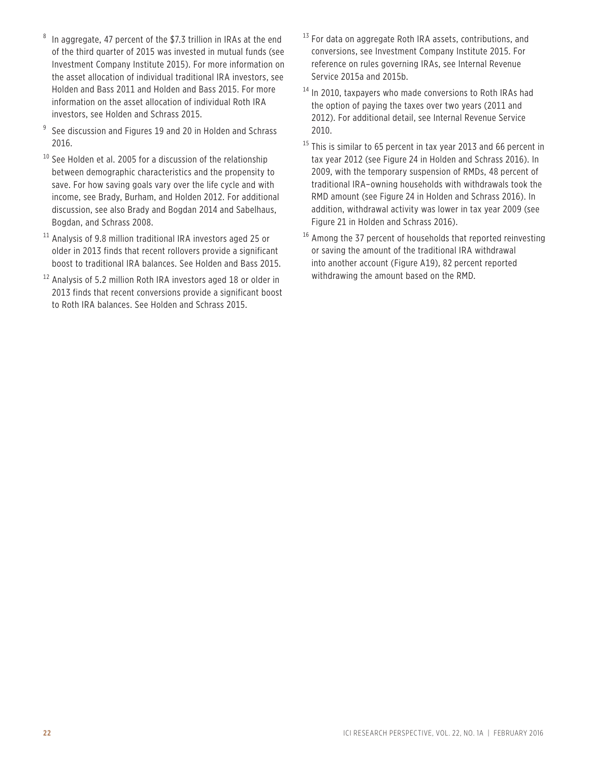- In aggregate, 47 percent of the \$7.3 trillion in IRAs at the end of the third quarter of 2015 was invested in mutual funds (see Investment Company Institute 2015). For more information on the asset allocation of individual traditional IRA investors, see Holden and Bass 2011 and Holden and Bass 2015. For more information on the asset allocation of individual Roth IRA investors, see Holden and Schrass 2015.
- $9$  See discussion and Figures 19 and 20 in Holden and Schrass 2016.
- $10$  See Holden et al. 2005 for a discussion of the relationship between demographic characteristics and the propensity to save. For how saving goals vary over the life cycle and with income, see Brady, Burham, and Holden 2012. For additional discussion, see also Brady and Bogdan 2014 and Sabelhaus, Bogdan, and Schrass 2008.
- $11$  Analysis of 9.8 million traditional IRA investors aged 25 or older in 2013 finds that recent rollovers provide a significant boost to traditional IRA balances. See Holden and Bass 2015.
- <sup>12</sup> Analysis of 5.2 million Roth IRA investors aged 18 or older in 2013 finds that recent conversions provide a significant boost to Roth IRA balances. See Holden and Schrass 2015.
- $13$  For data on aggregate Roth IRA assets, contributions, and conversions, see Investment Company Institute 2015. For reference on rules governing IRAs, see Internal Revenue Service 2015a and 2015b.
- <sup>14</sup> In 2010, taxpayers who made conversions to Roth IRAs had the option of paying the taxes over two years (2011 and 2012). For additional detail, see Internal Revenue Service 2010.
- <sup>15</sup> This is similar to 65 percent in tax year 2013 and 66 percent in tax year 2012 (see Figure 24 in Holden and Schrass 2016). In 2009, with the temporary suspension of RMDs, 48 percent of traditional IRA–owning households with withdrawals took the RMD amount (see Figure 24 in Holden and Schrass 2016). In addition, withdrawal activity was lower in tax year 2009 (see Figure 21 in Holden and Schrass 2016).
- <sup>16</sup> Among the 37 percent of households that reported reinvesting or saving the amount of the traditional IRA withdrawal into another account (Figure A19), 82 percent reported withdrawing the amount based on the RMD.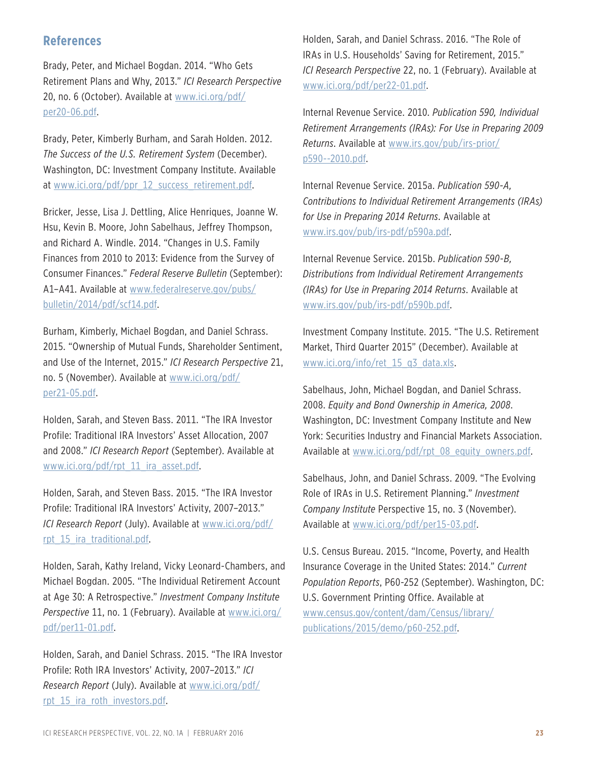## **References**

Brady, Peter, and Michael Bogdan. 2014. "Who Gets Retirement Plans and Why, 2013." *ICI Research Perspective*  20, no. 6 (October). Available at www.ici.org/pdf/ per20-06.pdf.

Brady, Peter, Kimberly Burham, and Sarah Holden. 2012. *The Success of the U.S. Retirement System* (December). Washington, DC: Investment Company Institute. Available at www.ici.org/pdf/ppr\_12\_success\_retirement.pdf.

Bricker, Jesse, Lisa J. Dettling, Alice Henriques, Joanne W. Hsu, Kevin B. Moore, John Sabelhaus, Jeffrey Thompson, and Richard A. Windle. 2014. "Changes in U.S. Family Finances from 2010 to 2013: Evidence from the Survey of Consumer Finances." *Federal Reserve Bulletin* (September): A1–A41. Available at www.federalreserve.gov/pubs/ bulletin/2014/pdf/scf14.pdf.

Burham, Kimberly, Michael Bogdan, and Daniel Schrass. 2015. "Ownership of Mutual Funds, Shareholder Sentiment, and Use of the Internet, 2015." *ICI Research Perspective* 21, no. 5 (November). Available at www.ici.org/pdf/ per21-05.pdf.

Holden, Sarah, and Steven Bass. 2011. "The IRA Investor Profile: Traditional IRA Investors' Asset Allocation, 2007 and 2008." *ICI Research Report* (September). Available at www.ici.org/pdf/rpt\_11\_ira\_asset.pdf.

Holden, Sarah, and Steven Bass. 2015. "The IRA Investor Profile: Traditional IRA Investors' Activity, 2007–2013." *ICI Research Report* (July). Available at www.ici.org/pdf/ rpt\_15\_ira\_traditional.pdf.

Holden, Sarah, Kathy Ireland, Vicky Leonard-Chambers, and Michael Bogdan. 2005. "The Individual Retirement Account at Age 30: A Retrospective." *Investment Company Institute Perspective* 11, no. 1 (February). Available at www.ici.org/ pdf/per11-01.pdf.

Holden, Sarah, and Daniel Schrass. 2015. "The IRA Investor Profile: Roth IRA Investors' Activity, 2007–2013." *ICI Research Report* (July). Available at www.ici.org/pdf/ rpt 15 ira roth investors.pdf.

Holden, Sarah, and Daniel Schrass. 2016. "The Role of IRAs in U.S. Households' Saving for Retirement, 2015." *ICI Research Perspective* 22, no. 1 (February). Available at www.ici.org/pdf/per22-01.pdf.

Internal Revenue Service. 2010. *Publication 590, Individual Retirement Arrangements (IRAs): For Use in Preparing 2009 Returns*. Available at www.irs.gov/pub/irs-prior/ p590--2010.pdf.

Internal Revenue Service. 2015a. *Publication 590-A, Contributions to Individual Retirement Arrangements (IRAs) for Use in Preparing 2014 Returns*. Available at www.irs.gov/pub/irs-pdf/p590a.pdf.

Internal Revenue Service. 2015b. *Publication 590-B, Distributions from Individual Retirement Arrangements (IRAs) for Use in Preparing 2014 Returns*. Available at www.irs.gov/pub/irs-pdf/p590b.pdf.

Investment Company Institute. 2015. "The U.S. Retirement Market, Third Quarter 2015" (December). Available at www.ici.org/info/ret\_15\_q3\_data.xls.

Sabelhaus, John, Michael Bogdan, and Daniel Schrass. 2008. *Equity and Bond Ownership in America, 2008*. Washington, DC: Investment Company Institute and New York: Securities Industry and Financial Markets Association. Available at www.ici.org/pdf/rpt\_08\_equity\_owners.pdf.

Sabelhaus, John, and Daniel Schrass. 2009. "The Evolving Role of IRAs in U.S. Retirement Planning." *Investment Company Institute* Perspective 15, no. 3 (November). Available at www.ici.org/pdf/per15-03.pdf.

U.S. Census Bureau. 2015. "Income, Poverty, and Health Insurance Coverage in the United States: 2014." *Current Population Reports*, P60-252 (September). Washington, DC: U.S. Government Printing Office. Available at www.census.gov/content/dam/Census/library/ publications/2015/demo/p60-252.pdf.